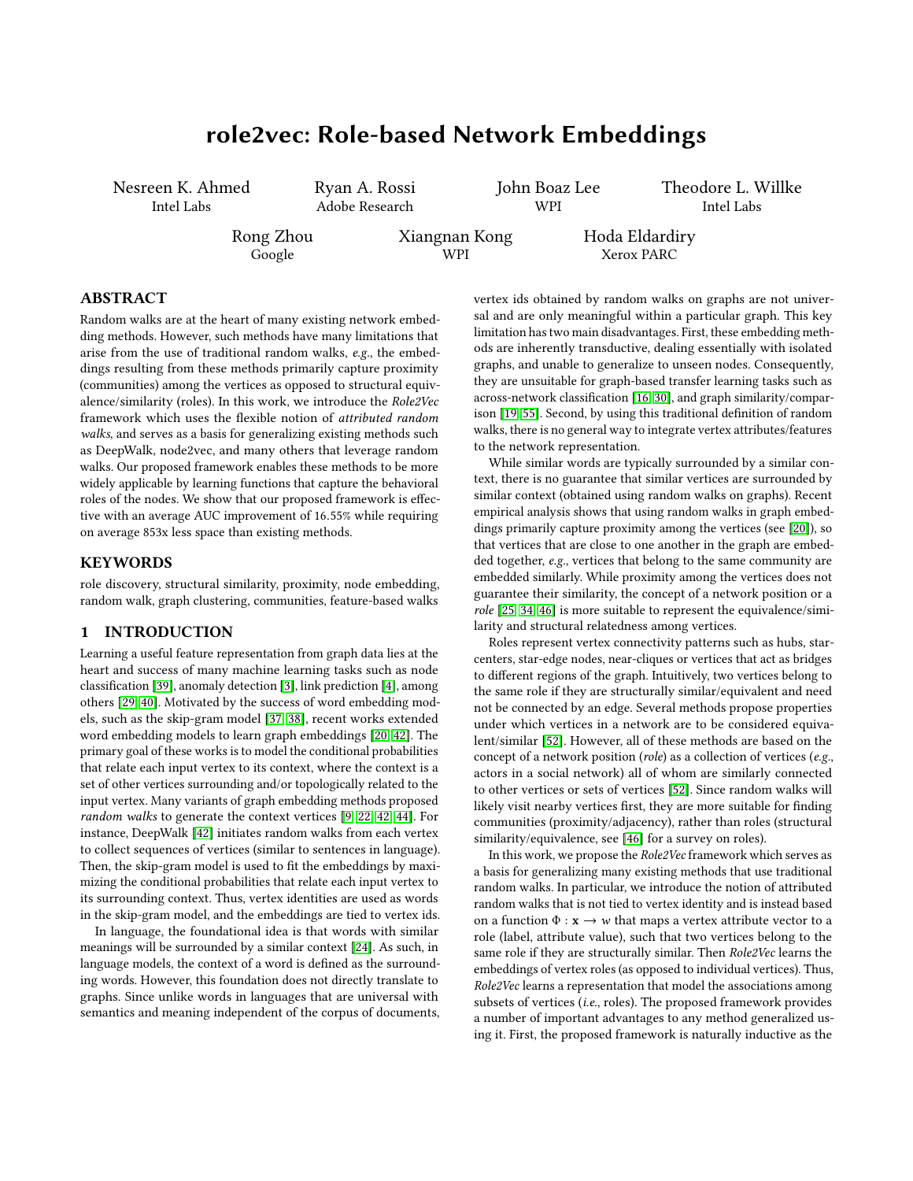# role2vec: Role-based Network Embeddings

<span id="page-0-0"></span>Nesreen K. Ahmed Intel Labs

Ryan A. Rossi Adobe Research

John Boaz Lee WPI

Theodore L. Willke Intel Labs

Rong Zhou Google

Xiangnan Kong WPI

Hoda Eldardiry Xerox PARC

## ABSTRACT

Random walks are at the heart of many existing network embedding methods. However, such methods have many limitations that arise from the use of traditional random walks, e.g., the embeddings resulting from these methods primarily capture proximity (communities) among the vertices as opposed to structural equivalence/similarity (roles). In this work, we introduce the Role2Vec framework which uses the flexible notion of attributed random walks, and serves as a basis for generalizing existing methods such as DeepWalk, node2vec, and many others that leverage random walks. Our proposed framework enables these methods to be more widely applicable by learning functions that capture the behavioral roles of the nodes. We show that our proposed framework is effective with an average AUC improvement of <sup>16</sup>.55% while requiring on average 853x less space than existing methods.

#### **KEYWORDS**

role discovery, structural similarity, proximity, node embedding, random walk, graph clustering, communities, feature-based walks

## 1 INTRODUCTION

Learning a useful feature representation from graph data lies at the heart and success of many machine learning tasks such as node classification [\[39\]](#page-4-0), anomaly detection [\[3\]](#page-4-1), link prediction [\[4\]](#page-4-2), among others [\[29,](#page-4-3) [40\]](#page-4-4). Motivated by the success of word embedding models, such as the skip-gram model [\[37,](#page-4-5) [38\]](#page-4-6), recent works extended word embedding models to learn graph embeddings [\[20,](#page-4-7) [42\]](#page-4-8). The primary goal of these works is to model the conditional probabilities that relate each input vertex to its context, where the context is a set of other vertices surrounding and/or topologically related to the input vertex. Many variants of graph embedding methods proposed random walks to generate the context vertices [\[9,](#page-4-9) [22,](#page-4-10) [42,](#page-4-8) [44\]](#page-4-11). For instance, DeepWalk [\[42\]](#page-4-8) initiates random walks from each vertex to collect sequences of vertices (similar to sentences in language). Then, the skip-gram model is used to fit the embeddings by maximizing the conditional probabilities that relate each input vertex to its surrounding context. Thus, vertex identities are used as words in the skip-gram model, and the embeddings are tied to vertex ids.

In language, the foundational idea is that words with similar meanings will be surrounded by a similar context [\[24\]](#page-4-12). As such, in language models, the context of a word is defined as the surrounding words. However, this foundation does not directly translate to graphs. Since unlike words in languages that are universal with semantics and meaning independent of the corpus of documents, vertex ids obtained by random walks on graphs are not universal and are only meaningful within a particular graph. This key limitation has two main disadvantages. First, these embedding methods are inherently transductive, dealing essentially with isolated graphs, and unable to generalize to unseen nodes. Consequently, they are unsuitable for graph-based transfer learning tasks such as across-network classification [\[16,](#page-4-13) [30\]](#page-4-14), and graph similarity/comparison [\[19,](#page-4-15) [55\]](#page-4-16). Second, by using this traditional definition of random walks, there is no general way to integrate vertex attributes/features to the network representation.

While similar words are typically surrounded by a similar context, there is no guarantee that similar vertices are surrounded by similar context (obtained using random walks on graphs). Recent empirical analysis shows that using random walks in graph embeddings primarily capture proximity among the vertices (see [\[20\]](#page-4-7)), so that vertices that are close to one another in the graph are embedded together, e.g., vertices that belong to the same community are embedded similarly. While proximity among the vertices does not guarantee their similarity, the concept of a network position or a role [\[25,](#page-4-17) [34,](#page-4-18) [46\]](#page-4-19) is more suitable to represent the equivalence/similarity and structural relatedness among vertices.

Roles represent vertex connectivity patterns such as hubs, starcenters, star-edge nodes, near-cliques or vertices that act as bridges to different regions of the graph. Intuitively, two vertices belong to the same role if they are structurally similar/equivalent and need not be connected by an edge. Several methods propose properties under which vertices in a network are to be considered equivalent/similar [\[52\]](#page-4-20). However, all of these methods are based on the concept of a network position (role) as a collection of vertices (e.g., actors in a social network) all of whom are similarly connected to other vertices or sets of vertices [\[52\]](#page-4-20). Since random walks will likely visit nearby vertices first, they are more suitable for finding communities (proximity/adjacency), rather than roles (structural similarity/equivalence, see [\[46\]](#page-4-19) for a survey on roles).

In this work, we propose the Role2Vec framework which serves as a basis for generalizing many existing methods that use traditional random walks. In particular, we introduce the notion of attributed random walks that is not tied to vertex identity and is instead based on a function  $\Phi : \mathbf{x} \to \mathbf{w}$  that maps a vertex attribute vector to a role (label, attribute value), such that two vertices belong to the same role if they are structurally similar. Then Role2Vec learns the embeddings of vertex roles (as opposed to individual vertices). Thus, Role2Vec learns a representation that model the associations among subsets of vertices (i.e., roles). The proposed framework provides a number of important advantages to any method generalized using it. First, the proposed framework is naturally inductive as the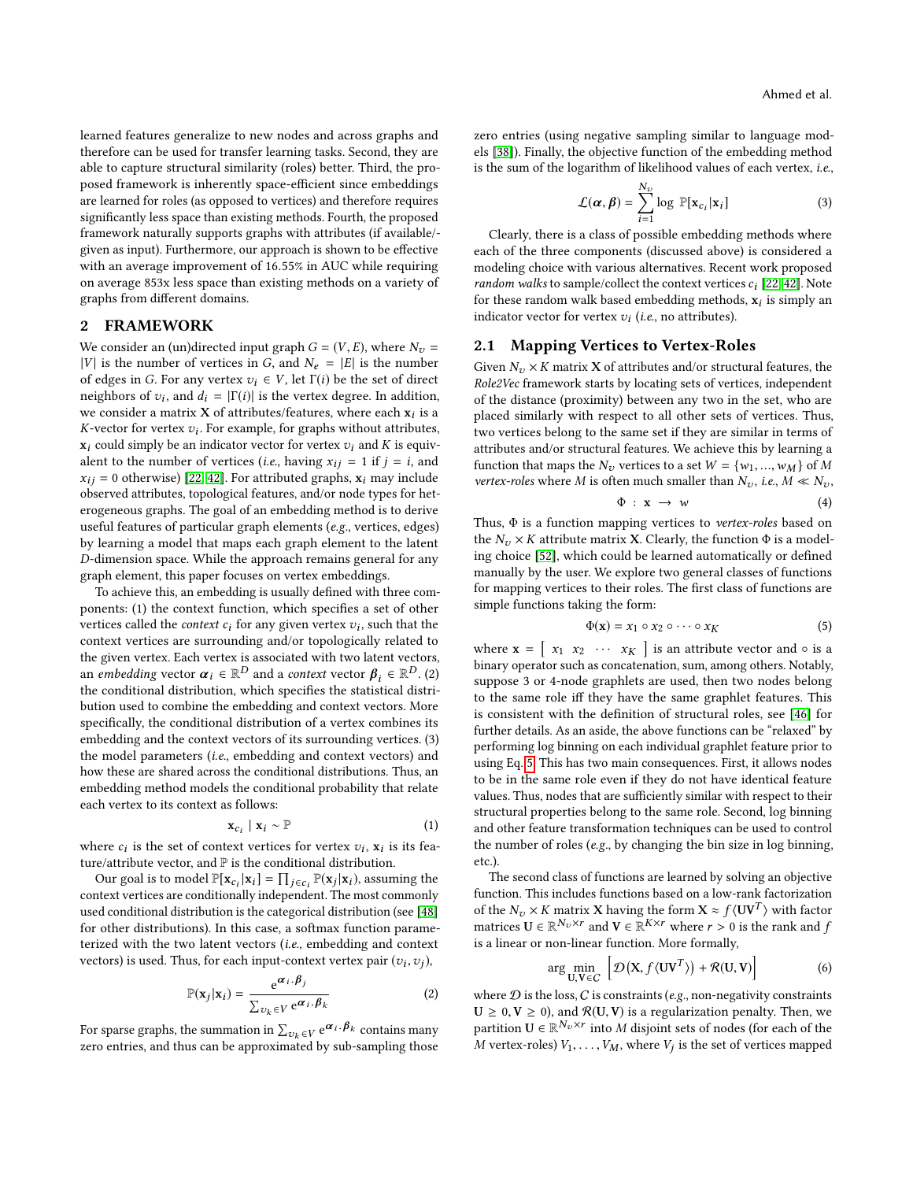learned features generalize to new nodes and across graphs and therefore can be used for transfer learning tasks. Second, they are able to capture structural similarity (roles) better. Third, the proposed framework is inherently space-efficient since embeddings are learned for roles (as opposed to vertices) and therefore requires significantly less space than existing methods. Fourth, the proposed framework naturally supports graphs with attributes (if available/ given as input). Furthermore, our approach is shown to be effective with an average improvement of <sup>16</sup>.55% in AUC while requiring on average 853x less space than existing methods on a variety of graphs from different domains.

#### <span id="page-1-2"></span>2 FRAMEWORK

We consider an (un)directed input graph  $G = (V, E)$ , where  $N_v =$ |V| is the number of vertices in G, and  $N_e = |E|$  is the number of edges in G. For any vertex  $v_i \in V$ , let  $\Gamma(i)$  be the set of direct neighbors of  $v_i$ , and  $d_i = |\Gamma(i)|$  is the vertex degree. In addition, we consider a matrix **X** of attributes/features, where each  $x_i$  is a K-vector for vertex  $v_i$ . For example, for graphs without attributes,  $\mathbf{x}_i$  could simply be an indicator vector for vertex  $v_i$  and K is equivalent  $x_i$  could simply be an indicator vector for vertex  $v_i$  and K is equivalent to the number of vertices (*i.e.*, having  $x_{ij} = 1$  if  $j = i$ , and  $x_{ij} = 0$  otherwise) [\[22,](#page-4-10) [42\]](#page-4-8). For attributed graphs,  $x_i$  may include observed attributes, topological features, and/or node types for heterogeneous graphs. The goal of an embedding method is to derive useful features of particular graph elements (e.g., vertices, edges) by learning a model that maps each graph element to the latent D-dimension space. While the approach remains general for any graph element, this paper focuses on vertex embeddings.

To achieve this, an embedding is usually defined with three components: (1) the context function, which specifies a set of other vertices called the *context*  $c_i$  for any given vertex  $v_i$ , such that the context vertices are surrounding and/or topologically related to context vertices are surrounding and/or topologically related to the given vertex. Each vertex is associated with two latent vectors, an embedding vector  $\boldsymbol{\alpha}_i \in \mathbb{R}^D$  and a context vector  $\boldsymbol{\beta}_i \in \mathbb{R}^D$ . (2)<br>the conditional distribution, which specifies the statistical distrithe conditional distribution, which specifies the statistical distribution used to combine the embedding and context vectors. More specifically, the conditional distribution of a vertex combines its embedding and the context vectors of its surrounding vertices. (3) the model parameters (i.e., embedding and context vectors) and how these are shared across the conditional distributions. Thus, an embedding method models the conditional probability that relate each vertex to its context as follows:

$$
\mathbf{x}_{c_i} \mid \mathbf{x}_i \sim \mathbb{P} \tag{1}
$$

where  $c_i$  is the set of context vertices for vertex  $v_i$ ,  $x_i$  is its fea-<br>ture/attribute vector and  $\mathbb{P}$  is the conditional distribution ture/attribute vector, and  $\mathbb P$  is the conditional distribution.

Our goal is to model  $\mathbb{P}[\mathbf{x}_c_i | \mathbf{x}_i] = \prod_{j \in c_i} \mathbb{P}(\mathbf{x}_j | \mathbf{x}_i)$ , assuming the context vertices are conditionally independent. The most commonly used conditional distribution is the categorical distribution (see [\[48\]](#page-4-21) for other distributions). In this case, a softmax function parameterized with the two latent vectors (i.e., embedding and context vectors) is used. Thus, for each input-context vertex pair  $(v_i, v_j)$ ,

$$
\mathbb{P}(\mathbf{x}_j|\mathbf{x}_i) = \frac{e^{\alpha_i \cdot \beta_j}}{\sum_{v_k \in V} e^{\alpha_i \cdot \beta_k}}
$$
(2)

For sparse graphs, the summation in  $\sum_{v_k \in V} e^{\alpha_i \cdot \beta_k}$  contains many zero entries, and thus can be approximated by sub-sampling those zero entries (using negative sampling similar to language models [\[38\]](#page-4-6)). Finally, the objective function of the embedding method is the sum of the logarithm of likelihood values of each vertex, i.e.,

$$
\mathcal{L}(\boldsymbol{\alpha}, \boldsymbol{\beta}) = \sum_{i=1}^{N_v} \log \mathbb{P}[\mathbf{x}_{c_i} | \mathbf{x}_i]
$$
 (3)

Clearly, there is a class of possible embedding methods where each of the three components (discussed above) is considered a modeling choice with various alternatives. Recent work proposed random walks to sample/collect the context vertices  $c_i$  [\[22,](#page-4-10) [42\]](#page-4-8). Note for these random walk based embedding methods,  $x_i$  is simply an indicator vector for vertex  $v_i$  (*i.e.*, no attributes).

#### <span id="page-1-1"></span>2.1 Mapping Vertices to Vertex-Roles

Given  $N_v \times K$  matrix **X** of attributes and/or structural features, the Role2Vec framework starts by locating sets of vertices, independent of the distance (proximity) between any two in the set, who are placed similarly with respect to all other sets of vertices. Thus, two vertices belong to the same set if they are similar in terms of attributes and/or structural features. We achieve this by learning a function that maps the  $N_v$  vertices to a set  $W = \{w_1, ..., w_M\}$  of M vertex-roles where M is often much smaller than  $N_v$ , i.e.,  $M \ll N_v$ ,

$$
\Phi : \mathbf{x} \to w \tag{4}
$$

Thus,  $\Phi$  is a function mapping vertices to *vertex-roles* based on the  $N \times K$  attribute matrix **X** Clearly the function  $\Phi$  is a model. the  $N_v \times K$  attribute matrix X. Clearly, the function  $\Phi$  is a modeling choice [\[52\]](#page-4-20), which could be learned automatically or defined manually by the user. We explore two general classes of functions for mapping vertices to their roles. The first class of functions are simple functions taking the form:

<span id="page-1-0"></span>
$$
\Phi(\mathbf{x}) = x_1 \circ x_2 \circ \cdots \circ x_K \tag{5}
$$

where  $\mathbf{x} = \begin{bmatrix} x_1 & x_2 & \cdots & x_K \end{bmatrix}$  is an attribute vector and  $\circ$  is a binary operator such as concatenation sum among others. Notably binary operator such as concatenation, sum, among others. Notably, suppose 3 or 4-node graphlets are used, then two nodes belong to the same role iff they have the same graphlet features. This is consistent with the definition of structural roles, see [\[46\]](#page-4-19) for further details. As an aside, the above functions can be "relaxed" by performing log binning on each individual graphlet feature prior to using Eq. [5.](#page-1-0) This has two main consequences. First, it allows nodes to be in the same role even if they do not have identical feature values. Thus, nodes that are sufficiently similar with respect to their structural properties belong to the same role. Second, log binning and other feature transformation techniques can be used to control the number of roles (e.g., by changing the bin size in log binning, etc.).

The second class of functions are learned by solving an objective function. This includes functions based on a low-rank factorization of the  $N_v \times K$  matrix X having the form  $X \approx f(UV^T)$  with factor<br>matrices  $U \in \mathbb{R}^{N_v \times r}$  and  $V \in \mathbb{R}^{K \times r}$  where  $r > 0$  is the rank and f matrices  $\mathbf{U} \in \mathbb{R}^{N_v \times r}$  and  $\mathbf{V} \in \mathbb{R}^{K \times r}$  where  $r > 0$  is the rank and  $f$  is a linear or non-linear function. More formally is a linear or non-linear function. More formally,

$$
\arg\min_{\mathbf{U},\mathbf{V}\in C} \left[ \mathcal{D}(\mathbf{X}, f \langle \mathbf{U}\mathbf{V}^T \rangle) + \mathcal{R}(\mathbf{U}, \mathbf{V}) \right] \tag{6}
$$

 $U, V \in C \quad 1 \quad 1 \quad 1 \quad 0$ <br>where  $D$  is the loss,  $C$  is constraints (e.g., non-negativity constraints  $U \ge 0, V \ge 0$ , and  $\mathcal{R}(U, V)$  is a regularization penalty. Then, we partition  $U \in \mathbb{R}^{N_v \times r}$  into M disjoint sets of nodes (for each of the M vertex-roles)  $V_{\text{tot}}$  where V, is the set of vertices manned  $\overline{M}$  vertex-roles)  $V_1, \ldots, V_M$ , where  $V_j$  is the set of vertices mapped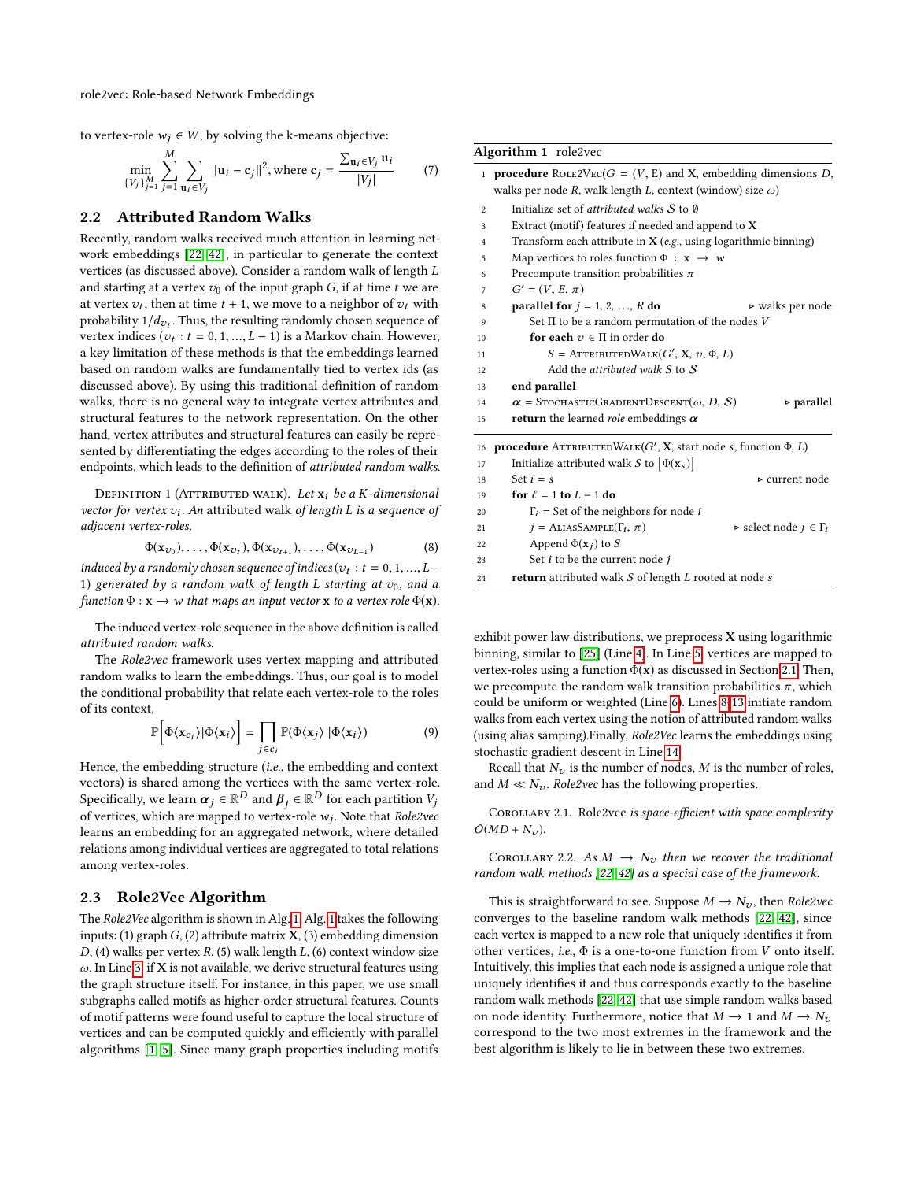to vertex-role  $w_j$  ∈ *W*, by solving the k-means objective:

$$
\min_{\{V_j\}_{j=1}^M} \sum_{j=1}^M \sum_{\mathbf{u}_i \in V_j} ||\mathbf{u}_i - \mathbf{c}_j||^2, \text{ where } \mathbf{c}_j = \frac{\sum_{\mathbf{u}_i \in V_j} \mathbf{u}_i}{|V_j|} \tag{7}
$$

#### 2.2 Attributed Random Walks

Recently, random walks received much attention in learning network embeddings [\[22,](#page-4-10) [42\]](#page-4-8), in particular to generate the context vertices (as discussed above). Consider a random walk of length L and starting at a vertex  $v_0$  of the input graph  $G$ , if at time t we are at vertex  $v_t$ , then at time  $t + 1$ , we move to a neighbor of  $v_t$  with probability  $1/d$ . Thus the resulting randomly chosen sequence of probability  $1/d_{v_t}$ . Thus, the resulting randomly chosen sequence of vertex indices  $(v_t, t = 0, 1, \ldots, I = 1)$  is a Markov chain. However vertex indices  $(v_t : t = 0, 1, ..., L - 1)$  is a Markov chain. However, a key limitation of these methods is that the embeddings learned based on random walks are fundamentally tied to vertex ids (as discussed above). By using this traditional definition of random walks, there is no general way to integrate vertex attributes and structural features to the network representation. On the other hand, vertex attributes and structural features can easily be represented by differentiating the edges according to the roles of their endpoints, which leads to the definition of attributed random walks.

DEFINITION 1 (ATTRIBUTED WALK). Let  $x_i$  be a K-dimensional vector for vertex  $v_i$ . An attributed walk of length L is a sequence of adjacent vertex-roles adjacent vertex-roles,

$$
\Phi(\mathbf{x}_{v_0}), \dots, \Phi(\mathbf{x}_{v_t}), \Phi(\mathbf{x}_{v_{t+1}}), \dots, \Phi(\mathbf{x}_{v_{L-1}})
$$
\n(8)

induced by a randomly chosen sequence of indices  $(v_t : t = 0, 1, ..., L-1)$  separated by a random walk of length L starting at  $v_0$  and a 1) generated by a random walk of length L starting at  $v_0$ , and a function  $\Phi : \mathbf{x} \to \mathbf{w}$  that maps an input vector  $\mathbf{x}$  to a vertex role  $\Phi(\mathbf{x})$ .

The induced vertex-role sequence in the above definition is called attributed random walks.

The Role2vec framework uses vertex mapping and attributed random walks to learn the embeddings. Thus, our goal is to model the conditional probability that relate each vertex-role to the roles of its context,

$$
\mathbb{P}\Big[\Phi\langle \mathbf{x}_{c_i}\rangle|\Phi\langle \mathbf{x}_i\rangle\Big] = \prod_{j\in c_i} \mathbb{P}(\Phi\langle \mathbf{x}_j\rangle|\Phi\langle \mathbf{x}_i\rangle) \tag{9}
$$

Hence, the embedding structure (*i.e.*, the embedding and context vectors) is shared among the vertices with the same vertex-role. Specifically, we learn  $\alpha_j \in \mathbb{R}^D$  and  $\beta_j \in \mathbb{R}^D$  for each partition  $V_j$  of vertices which are manned to vertex-role  $w_j$ . Note that *Role2ye* of vertices, which are mapped to vertex-role  $w_j$ . Note that *Role2vec*<br>learns an embedding for an aggregated network, where detailed learns an embedding for an aggregated network, where detailed relations among individual vertices are aggregated to total relations among vertex-roles.

#### <span id="page-2-1"></span>2.3 Role2Vec Algorithm

The Role2Vec algorithm is shown in Alg. [1.](#page-2-0) Alg. [1](#page-2-0) takes the following inputs: (1) graph  $G$ , (2) attribute matrix  $X$ , (3) embedding dimension  $D$ , (4) walks per vertex  $R$ , (5) walk length  $L$ , (6) context window size  $\omega$ . In Line [3,](#page-2-0) if X is not available, we derive structural features using the graph structure itself. For instance, in this paper, we use small subgraphs called motifs as higher-order structural features. Counts of motif patterns were found useful to capture the local structure of vertices and can be computed quickly and efficiently with parallel algorithms [\[1,](#page-4-22) [5\]](#page-4-23). Since many graph properties including motifs

#### <span id="page-2-0"></span>Algorithm 1 role2vec

| $\mathbf{1}$   | <b>procedure</b> ROLE2VEC( $G = (V, E)$ and X, embedding dimensions D,                 |  |  |  |  |  |  |  |
|----------------|----------------------------------------------------------------------------------------|--|--|--|--|--|--|--|
|                | walks per node R, walk length L, context (window) size $\omega$ )                      |  |  |  |  |  |  |  |
| $\overline{c}$ | Initialize set of <i>attributed</i> walks $S$ to $\emptyset$                           |  |  |  |  |  |  |  |
| 3              | Extract (motif) features if needed and append to X                                     |  |  |  |  |  |  |  |
| $\overline{4}$ | Transform each attribute in $X(e.g., using logarithmic binning)$                       |  |  |  |  |  |  |  |
| 5              | Map vertices to roles function $\Phi : \mathbf{x} \to \mathbf{w}$                      |  |  |  |  |  |  |  |
| 6              | Precompute transition probabilities $\pi$                                              |  |  |  |  |  |  |  |
| 7              | $G' = (V, E, \pi)$                                                                     |  |  |  |  |  |  |  |
| 8              | parallel for $j = 1, 2, , R$ do<br>$\triangleright$ walks per node                     |  |  |  |  |  |  |  |
| 9              | Set $\Pi$ to be a random permutation of the nodes V                                    |  |  |  |  |  |  |  |
| 10             | for each $v \in \Pi$ in order do                                                       |  |  |  |  |  |  |  |
| 11             | $S =$ ATTRIBUTEDWALK $(G', X, v, \Phi, L)$                                             |  |  |  |  |  |  |  |
| 12             | Add the attributed walk $S$ to $S$                                                     |  |  |  |  |  |  |  |
| 13             | end parallel                                                                           |  |  |  |  |  |  |  |
| 14             | $\alpha$ = StochasticGradientDescent( $\omega$ , D, S)<br>$\triangleright$ parallel    |  |  |  |  |  |  |  |
| 15             | <b>return</b> the learned <i>role</i> embeddings $\alpha$                              |  |  |  |  |  |  |  |
| 16             | <b>procedure</b> ATTRIBUTEDWALK $(G', X)$ , start node s, function $\Phi$ , <i>L</i> ) |  |  |  |  |  |  |  |
| 17             | Initialize attributed walk S to $[\Phi(\mathbf{x}_s)]$                                 |  |  |  |  |  |  |  |
| 18             | Set $i = s$<br>⊳ current node                                                          |  |  |  |  |  |  |  |
| 19             | for $\ell = 1$ to $L - 1$ do                                                           |  |  |  |  |  |  |  |
| 20             | $\Gamma_i$ = Set of the neighbors for node <i>i</i>                                    |  |  |  |  |  |  |  |
| 21             | $j = \text{ALIASSample}(\Gamma_i, \pi)$<br>► select node $j \in \Gamma_i$              |  |  |  |  |  |  |  |
| 22             | Append $\Phi(\mathbf{x}_i)$ to S                                                       |  |  |  |  |  |  |  |
| 23             | Set $i$ to be the current node $j$                                                     |  |  |  |  |  |  |  |

exhibit power law distributions, we preprocess  $X$  using logarithmic binning, similar to [\[25\]](#page-4-17) (Line [4\)](#page-2-0). In Line [5,](#page-2-0) vertices are mapped to vertex-roles using a function  $\Phi(\mathbf{x})$  as discussed in Section [2.1.](#page-1-1) Then, we precompute the random walk transition probabilities  $\pi$ , which could be uniform or weighted (Line [6\)](#page-2-0). Lines [8-13](#page-2-0) initiate random walks from each vertex using the notion of attributed random walks (using alias samping).Finally, Role2Vec learns the embeddings using stochastic gradient descent in Line [14.](#page-2-0)

24 return attributed walk S of length L rooted at node s

Recall that  $N_v$  is the number of nodes, M is the number of roles, and  $M \ll N_v$ . Role2vec has the following properties.

Corollary 2.1. Role2vec is space-efficient with space complexity  $O(MD + N_v)$ .

COROLLARY 2.2. As  $M \rightarrow N_v$  then we recover the traditional random walk methods [\[22,](#page-4-10) [42\]](#page-4-8) as a special case of the framework.

This is straightforward to see. Suppose  $M \rightarrow N_{v}$ , then *Role2vec* converges to the baseline random walk methods [\[22,](#page-4-10) [42\]](#page-4-8), since each vertex is mapped to a new role that uniquely identifies it from other vertices, i.e.,  $\Phi$  is a one-to-one function from V onto itself. Intuitively, this implies that each node is assigned a unique role that uniquely identifies it and thus corresponds exactly to the baseline random walk methods [\[22,](#page-4-10) [42\]](#page-4-8) that use simple random walks based on node identity. Furthermore, notice that  $M \to 1$  and  $M \to N_v$ correspond to the two most extremes in the framework and the best algorithm is likely to lie in between these two extremes.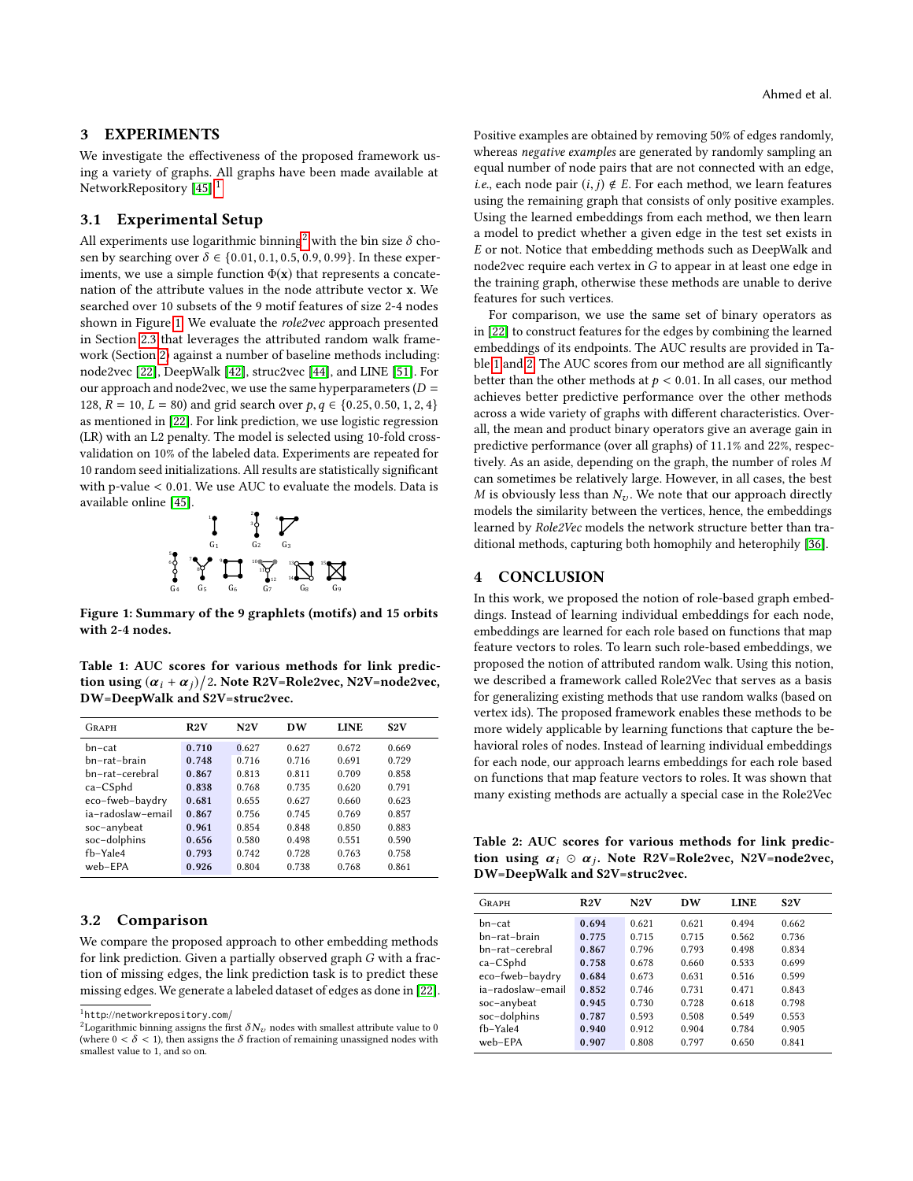#### 3 EXPERIMENTS

We investigate the effectiveness of the proposed framework using a variety of graphs. All graphs have been made available at NetworkRepository  $[45]$ <sup>[1](#page-0-0)</sup>

### 3.1 Experimental Setup

All experiments use logarithmic binning<sup>[2](#page-0-0)</sup> with the bin size  $\delta$  chosen by searching over  $\delta \in \{0.01, 0.1, 0.5, 0.9, 0.99\}$ . In these experiments, we use a simple function  $\Phi(\mathbf{x})$  that represents a concatenation of the attribute values in the node attribute vector x. We searched over 10 subsets of the 9 motif features of size 2-4 nodes shown in Figure [1.](#page-3-0) We evaluate the role2vec approach presented in Section [2.3](#page-2-1) that leverages the attributed random walk framework (Section [2\)](#page-1-2) against a number of baseline methods including: node2vec [\[22\]](#page-4-10), DeepWalk [\[42\]](#page-4-8), struc2vec [\[44\]](#page-4-11), and LINE [\[51\]](#page-4-25). For our approach and node2vec, we use the same hyperparameters  $(D =$ 128,  $R = 10, L = 80$ ) and grid search over  $p, q \in \{0.25, 0.50, 1, 2, 4\}$ as mentioned in [\[22\]](#page-4-10). For link prediction, we use logistic regression (LR) with an L2 penalty. The model is selected using 10-fold crossvalidation on 10% of the labeled data. Experiments are repeated for 10 random seed initializations. All results are statistically significant with p-value < <sup>0</sup>.01. We use AUC to evaluate the models. Data is available online [\[45\]](#page-4-24).

<span id="page-3-0"></span>

Figure 1: Summary of the 9 graphlets (motifs) and 15 orbits with 2-4 nodes.

<span id="page-3-1"></span>Table 1: AUC scores for various methods for link prediction using  $(\alpha_i + \alpha_j)/2$ . Note R2V=Role2vec, N2V=node2vec,<br>DW-DeepWalk and S2V-struc2vec DW=DeepWalk and S2V=struc2vec.

| GRAPH             | R2V   | N2V   | DW    | <b>LINE</b> | S <sub>2</sub> V |
|-------------------|-------|-------|-------|-------------|------------------|
| bn-cat            | 0.710 | 0.627 | 0.627 | 0.672       | 0.669            |
| bn-rat-brain      | 0.748 | 0.716 | 0.716 | 0.691       | 0.729            |
| bn-rat-cerebral   | 0.867 | 0.813 | 0.811 | 0.709       | 0.858            |
| $ca-CSphd$        | 0.838 | 0.768 | 0.735 | 0.620       | 0.791            |
| eco-fweb-baydry   | 0.681 | 0.655 | 0.627 | 0.660       | 0.623            |
| ia-radoslaw-email | 0.867 | 0.756 | 0.745 | 0.769       | 0.857            |
| soc-anybeat       | 0.961 | 0.854 | 0.848 | 0.850       | 0.883            |
| soc-dolphins      | 0.656 | 0.580 | 0.498 | 0.551       | 0.590            |
| fb-Yale4          | 0.793 | 0.742 | 0.728 | 0.763       | 0.758            |
| web-EPA           | 0.926 | 0.804 | 0.738 | 0.768       | 0.861            |

#### 3.2 Comparison

We compare the proposed approach to other embedding methods for link prediction. Given a partially observed graph G with a fraction of missing edges, the link prediction task is to predict these missing edges. We generate a labeled dataset of edges as done in [\[22\]](#page-4-10). Positive examples are obtained by removing 50% of edges randomly, whereas negative examples are generated by randomly sampling an equal number of node pairs that are not connected with an edge, *i.e.*, each node pair  $(i, j) \notin E$ . For each method, we learn features using the remaining graph that consists of only positive examples. Using the learned embeddings from each method, we then learn a model to predict whether a given edge in the test set exists in E or not. Notice that embedding methods such as DeepWalk and node2vec require each vertex in G to appear in at least one edge in the training graph, otherwise these methods are unable to derive features for such vertices.

For comparison, we use the same set of binary operators as in [\[22\]](#page-4-10) to construct features for the edges by combining the learned embeddings of its endpoints. The AUC results are provided in Table [1](#page-3-1) and [2.](#page-3-2) The AUC scores from our method are all significantly better than the other methods at  $p < 0.01$ . In all cases, our method achieves better predictive performance over the other methods across a wide variety of graphs with different characteristics. Overall, the mean and product binary operators give an average gain in predictive performance (over all graphs) of <sup>11</sup>.1% and 22%, respectively. As an aside, depending on the graph, the number of roles M can sometimes be relatively large. However, in all cases, the best M is obviously less than  $N_v$ . We note that our approach directly models the similarity between the vertices, hence, the embeddings learned by Role2Vec models the network structure better than traditional methods, capturing both homophily and heterophily [\[36\]](#page-4-26).

#### 4 CONCLUSION

In this work, we proposed the notion of role-based graph embeddings. Instead of learning individual embeddings for each node, embeddings are learned for each role based on functions that map feature vectors to roles. To learn such role-based embeddings, we proposed the notion of attributed random walk. Using this notion, we described a framework called Role2Vec that serves as a basis for generalizing existing methods that use random walks (based on vertex ids). The proposed framework enables these methods to be more widely applicable by learning functions that capture the behavioral roles of nodes. Instead of learning individual embeddings for each node, our approach learns embeddings for each role based on functions that map feature vectors to roles. It was shown that many existing methods are actually a special case in the Role2Vec

<span id="page-3-2"></span>Table 2: AUC scores for various methods for link prediction using  $\alpha_i \odot \alpha_j$ . Note R2V=Role2vec, N2V=node2vec,<br>DW=DeepWalk and S2V=struc2vec DW=DeepWalk and S2V=struc2vec.

| GRAPH             | R2V   | N2V   | DW    | <b>LINE</b> | S <sub>2</sub> V |
|-------------------|-------|-------|-------|-------------|------------------|
| bn-cat            | 0.694 | 0.621 | 0.621 | 0.494       | 0.662            |
| hn-rat-hrain      | 0.775 | 0.715 | 0.715 | 0.562       | 0.736            |
| bn-rat-cerebral   | 0.867 | 0.796 | 0.793 | 0.498       | 0.834            |
| $ca-CSphd$        | 0.758 | 0.678 | 0.660 | 0.533       | 0.699            |
| eco-fweb-baydry   | 0.684 | 0.673 | 0.631 | 0.516       | 0.599            |
| ia-radoslaw-email | 0.852 | 0.746 | 0.731 | 0.471       | 0.843            |
| soc-anybeat       | 0.945 | 0.730 | 0.728 | 0.618       | 0.798            |
| soc-dolphins      | 0.787 | 0.593 | 0.508 | 0.549       | 0.553            |
| fb-Yale4          | 0.940 | 0.912 | 0.904 | 0.784       | 0.905            |
| web-EPA           | 0.907 | 0.808 | 0.797 | 0.650       | 0.841            |
|                   |       |       |       |             |                  |

<sup>1</sup>http://networkrepository.com/

<sup>&</sup>lt;sup>2</sup>Logarithmic binning assigns the first  $\delta N_v$  nodes with smallest attribute value to 0 (where  $0 < \delta < 1$ ), then assigns the  $\delta$  fraction of remaining unassigned nodes with smallest value to 1, and so on.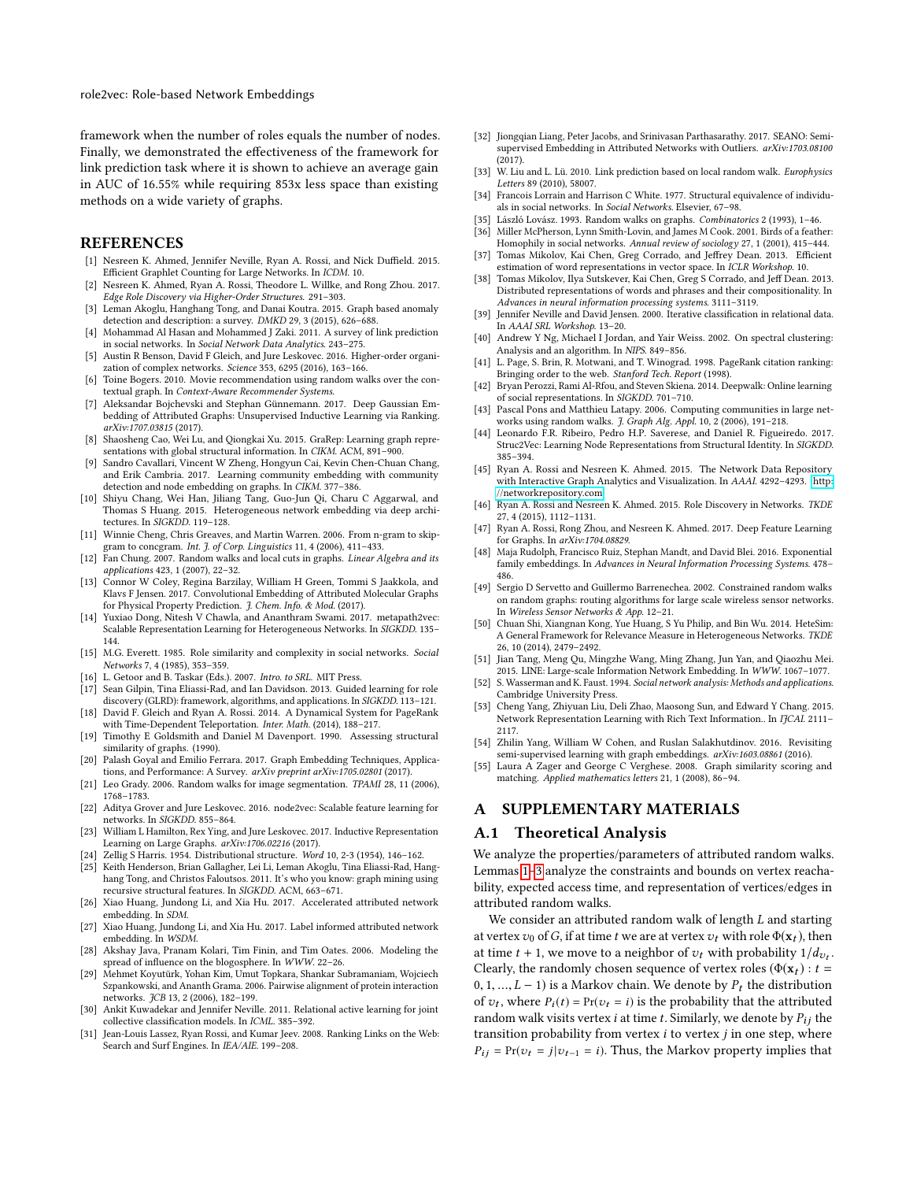role2vec: Role-based Network Embeddings

framework when the number of roles equals the number of nodes. Finally, we demonstrated the effectiveness of the framework for link prediction task where it is shown to achieve an average gain in AUC of 16.55% while requiring 853x less space than existing methods on a wide variety of graphs.

#### REFERENCES

- <span id="page-4-22"></span>[1] Nesreen K. Ahmed, Jennifer Neville, Ryan A. Rossi, and Nick Duffield. 2015. Efficient Graphlet Counting for Large Networks. In ICDM. 10.
- <span id="page-4-54"></span>[2] Nesreen K. Ahmed, Ryan A. Rossi, Theodore L. Willke, and Rong Zhou. 2017. Edge Role Discovery via Higher-Order Structures. 291–303.
- <span id="page-4-1"></span>[3] Leman Akoglu, Hanghang Tong, and Danai Koutra. 2015. Graph based anomaly detection and description: a survey. DMKD 29, 3 (2015), 626–688.
- <span id="page-4-2"></span>[4] Mohammad Al Hasan and Mohammed J Zaki. 2011. A survey of link prediction in social networks. In Social Network Data Analytics. 243–275.
- <span id="page-4-23"></span>[5] Austin R Benson, David F Gleich, and Jure Leskovec. 2016. Higher-order organization of complex networks. Science 353, 6295 (2016), 163–166.
- <span id="page-4-45"></span>[6] Toine Bogers. 2010. Movie recommendation using random walks over the contextual graph. In Context-Aware Recommender Systems.
- <span id="page-4-39"></span>[7] Aleksandar Bojchevski and Stephan Günnemann. 2017. Deep Gaussian Embedding of Attributed Graphs: Unsupervised Inductive Learning via Ranking. arXiv:1707.03815 (2017).
- <span id="page-4-28"></span>[8] Shaosheng Cao, Wei Lu, and Qiongkai Xu. 2015. GraRep: Learning graph representations with global structural information. In CIKM. ACM, 891–900.
- <span id="page-4-9"></span>[9] Sandro Cavallari, Vincent W Zheng, Hongyun Cai, Kevin Chen-Chuan Chang, and Erik Cambria. 2017. Learning community embedding with community detection and node embedding on graphs. In CIKM. 377–386.
- <span id="page-4-33"></span>[10] Shiyu Chang, Wei Han, Jiliang Tang, Guo-Jun Qi, Charu C Aggarwal, and Thomas S Huang. 2015. Heterogeneous network embedding via deep architectures. In SIGKDD. 119–128.
- <span id="page-4-27"></span>[11] Winnie Cheng, Chris Greaves, and Martin Warren. 2006. From n-gram to skipgram to concgram. Int. J. of Corp. Linguistics 11, 4 (2006), 411–433.
- <span id="page-4-41"></span>[12] Fan Chung. 2007. Random walks and local cuts in graphs. Linear Algebra and its applications 423, 1 (2007), 22–32.
- <span id="page-4-40"></span>[13] Connor W Coley, Regina Barzilay, William H Green, Tommi S Jaakkola, and Klavs F Jensen. 2017. Convolutional Embedding of Attributed Molecular Graphs for Physical Property Prediction. J. Chem. Info. & Mod. (2017).
- <span id="page-4-34"></span>[14] Yuxiao Dong, Nitesh V Chawla, and Ananthram Swami. 2017. metapath2vec: Scalable Representation Learning for Heterogeneous Networks. In SIGKDD. 135-144.
- <span id="page-4-52"></span>[15] M.G. Everett. 1985. Role similarity and complexity in social networks. Social Networks 7, 4 (1985), 353–359.
- <span id="page-4-13"></span>[16] L. Getoor and B. Taskar (Eds.). 2007. Intro. to SRL. MIT Press.
- <span id="page-4-53"></span>[17] Sean Gilpin, Tina Eliassi-Rad, and Ian Davidson. 2013. Guided learning for role discovery (GLRD): framework, algorithms, and applications. In SIGKDD. 113–121.
- <span id="page-4-51"></span>[18] David F. Gleich and Ryan A. Rossi. 2014. A Dynamical System for PageRank with Time-Dependent Teleportation. Inter. Math. (2014), 188–217.
- <span id="page-4-15"></span>[19] Timothy E Goldsmith and Daniel M Davenport. 1990. Assessing structural similarity of graphs. (1990).
- <span id="page-4-7"></span>[20] Palash Goyal and Emilio Ferrara. 2017. Graph Embedding Techniques, Applications, and Performance: A Survey. arXiv preprint arXiv:1705.02801 (2017)
- <span id="page-4-49"></span>[21] Leo Grady. 2006. Random walks for image segmentation. TPAMI 28, 11 (2006), 1768–1783.
- <span id="page-4-10"></span>[22] Aditya Grover and Jure Leskovec. 2016. node2vec: Scalable feature learning for networks. In SIGKDD. 855–864.
- <span id="page-4-31"></span>[23] William L Hamilton, Rex Ying, and Jure Leskovec. 2017. Inductive Representation Learning on Large Graphs. arXiv:1706.02216 (2017).
- <span id="page-4-12"></span>[24] Zellig S Harris. 1954. Distributional structure. Word 10, 2-3 (1954), 146–162.
- <span id="page-4-17"></span>[25] Keith Henderson, Brian Gallagher, Lei Li, Leman Akoglu, Tina Eliassi-Rad, Hanghang Tong, and Christos Faloutsos. 2011. It's who you know: graph mining using recursive structural features. In SIGKDD. ACM, 663–671.
- <span id="page-4-35"></span>[26] Xiao Huang, Jundong Li, and Xia Hu. 2017. Accelerated attributed network embedding. In SDM.
- <span id="page-4-36"></span>[27] Xiao Huang, Jundong Li, and Xia Hu. 2017. Label informed attributed network embedding. In WSDM.
- <span id="page-4-47"></span>[28] Akshay Java, Pranam Kolari, Tim Finin, and Tim Oates. 2006. Modeling the spread of influence on the blogosphere. In WWW. 22–26.
- <span id="page-4-3"></span>[29] Mehmet Koyutürk, Yohan Kim, Umut Topkara, Shankar Subramaniam, Wojciech Szpankowski, and Ananth Grama. 2006. Pairwise alignment of protein interaction networks. JCB 13, 2 (2006), 182–199.
- <span id="page-4-14"></span>[30] Ankit Kuwadekar and Jennifer Neville. 2011. Relational active learning for joint collective classification models. In ICML. 385–392.
- <span id="page-4-48"></span>[31] Jean-Louis Lassez, Ryan Rossi, and Kumar Jeev. 2008. Ranking Links on the Web: Search and Surf Engines. In IEA/AIE. 199–208.
- <span id="page-4-38"></span>[32] Jiongqian Liang, Peter Jacobs, and Srinivasan Parthasarathy. 2017. SEANO: Semisupervised Embedding in Attributed Networks with Outliers. arXiv:1703.08100 (2017).
- <span id="page-4-46"></span>[33] W. Liu and L. Lü. 2010. Link prediction based on local random walk. Europhysics Letters 89 (2010), 58007.
- <span id="page-4-18"></span>[34] Francois Lorrain and Harrison C White. 1977. Structural equivalence of individuals in social networks. In Social Networks. Elsevier, 67–98.
- <span id="page-4-42"></span>[35] László Lovász. 1993. Random walks on graphs. Combinatorics 2 (1993), 1–46.
- <span id="page-4-26"></span>[36] Miller McPherson, Lynn Smith-Lovin, and James M Cook. 2001. Birds of a feather: Homophily in social networks. Annual review of sociology 27, 1 (2001), 415–444.
- <span id="page-4-5"></span>Tomas Mikolov, Kai Chen, Greg Corrado, and Jeffrey Dean. 2013. Efficient estimation of word representations in vector space. In ICLR Workshop. 10.
- <span id="page-4-6"></span>[38] Tomas Mikolov, Ilya Sutskever, Kai Chen, Greg S Corrado, and Jeff Dean. 2013. Distributed representations of words and phrases and their compositionality. In Advances in neural information processing systems. 3111–3119.
- <span id="page-4-0"></span>[39] Jennifer Neville and David Jensen. 2000. Iterative classification in relational data. In AAAI SRL Workshop. 13–20.
- <span id="page-4-4"></span>[40] Andrew Y Ng, Michael I Jordan, and Yair Weiss. 2002. On spectral clustering: Analysis and an algorithm. In NIPS. 849–856.
- <span id="page-4-43"></span>[41] L. Page, S. Brin, R. Motwani, and T. Winograd. 1998. PageRank citation ranking: Bringing order to the web. Stanford Tech. Report (1998).
- <span id="page-4-8"></span>[42] Bryan Perozzi, Rami Al-Rfou, and Steven Skiena. 2014. Deepwalk: Online learning of social representations. In SIGKDD. 701–710.
- <span id="page-4-44"></span>[43] Pascal Pons and Matthieu Latapy. 2006. Computing communities in large networks using random walks. J. Graph Alg. Appl. 10, 2 (2006), 191–218.
- <span id="page-4-11"></span>[44] Leonardo F.R. Ribeiro, Pedro H.P. Saverese, and Daniel R. Figueiredo. 2017. Struc2Vec: Learning Node Representations from Structural Identity. In SIGKDD. 385–394.
- <span id="page-4-24"></span>[45] Ryan A. Rossi and Nesreen K. Ahmed. 2015. The Network Data Repository with Interactive Graph Analytics and Visualization. In AAAI. 4292-4293. [http:](http://networkrepository.com) [//networkrepository.com](http://networkrepository.com)
- <span id="page-4-19"></span>[46] Ryan A. Rossi and Nesreen K. Ahmed. 2015. Role Discovery in Networks. TKDE 27, 4 (2015), 1112–1131.
- <span id="page-4-30"></span>[47] Ryan A. Rossi, Rong Zhou, and Nesreen K. Ahmed. 2017. Deep Feature Learning for Graphs. In arXiv:1704.08829.
- <span id="page-4-21"></span>[48] Maja Rudolph, Francisco Ruiz, Stephan Mandt, and David Blei. 2016. Exponential family embeddings. In Advances in Neural Information Processing Systems. 478– 486.
- <span id="page-4-50"></span>[49] Sergio D Servetto and Guillermo Barrenechea. 2002. Constrained random walks on random graphs: routing algorithms for large scale wireless sensor networks. In Wireless Sensor Networks & App. 12–21.
- <span id="page-4-32"></span>[50] Chuan Shi, Xiangnan Kong, Yue Huang, S Yu Philip, and Bin Wu. 2014. HeteSim: A General Framework for Relevance Measure in Heterogeneous Networks. TKDE 26, 10 (2014), 2479–2492.
- <span id="page-4-25"></span>[51] Jian Tang, Meng Qu, Mingzhe Wang, Ming Zhang, Jun Yan, and Qiaozhu Mei. 2015. LINE: Large-scale Information Network Embedding. In WWW. 1067–1077.
- <span id="page-4-20"></span>[52] S. Wasserman and K. Faust. 1994. Social network analysis: Methods and applications. Cambridge University Press.
- <span id="page-4-37"></span>[53] Cheng Yang, Zhiyuan Liu, Deli Zhao, Maosong Sun, and Edward Y Chang. 2015. Network Representation Learning with Rich Text Information.. In IJCAI. 2111– 2117.
- <span id="page-4-29"></span>[54] Zhilin Yang, William W Cohen, and Ruslan Salakhutdinov. 2016. Revisiting semi-supervised learning with graph embeddings. arXiv:1603.08861 (2016).
- <span id="page-4-16"></span>[55] Laura A Zager and George C Verghese. 2008. Graph similarity scoring and matching. Applied mathematics letters 21, 1 (2008), 86–94.

## A SUPPLEMENTARY MATERIALS

#### A.1 Theoretical Analysis

We analyze the properties/parameters of attributed random walks. Lemmas [1](#page-5-0)[–3](#page-5-1) analyze the constraints and bounds on vertex reachability, expected access time, and representation of vertices/edges in attributed random walks.

We consider an attributed random walk of length L and starting at vertex  $v_0$  of G, if at time t we are at vertex  $v_t$  with role  $\Phi(\mathbf{x}_t)$ , then at time  $t + 1$ , we move to a neighbor of  $v_t$  with probability  $1/d_{v_t}$ .<br>Clearly the randomly chosen sequence of vertex roles  $(\Phi(x_0) \cdot t -$ Clearly, the randomly chosen sequence of vertex roles ( $\Phi(\mathbf{x}_t) : t =$ 0, 1, ...,  $L - 1$ ) is a Markov chain. We denote by  $P_t$  the distribution of  $v_t$ , where  $P_i(t) = Pr(v_t = i)$  is the probability that the attributed<br>random walk visits vertex *i* at time *t*. Similarly, we denote by  $P_i$ , the random walk visits vertex *i* at time *t*. Similarly, we denote by  $P_{ij}$  the transition probability from vertex  $i$  to vertex  $j$  in one step, where  $P_{ij} = Pr(v_t = j | v_{t-1} = i)$ . Thus, the Markov property implies that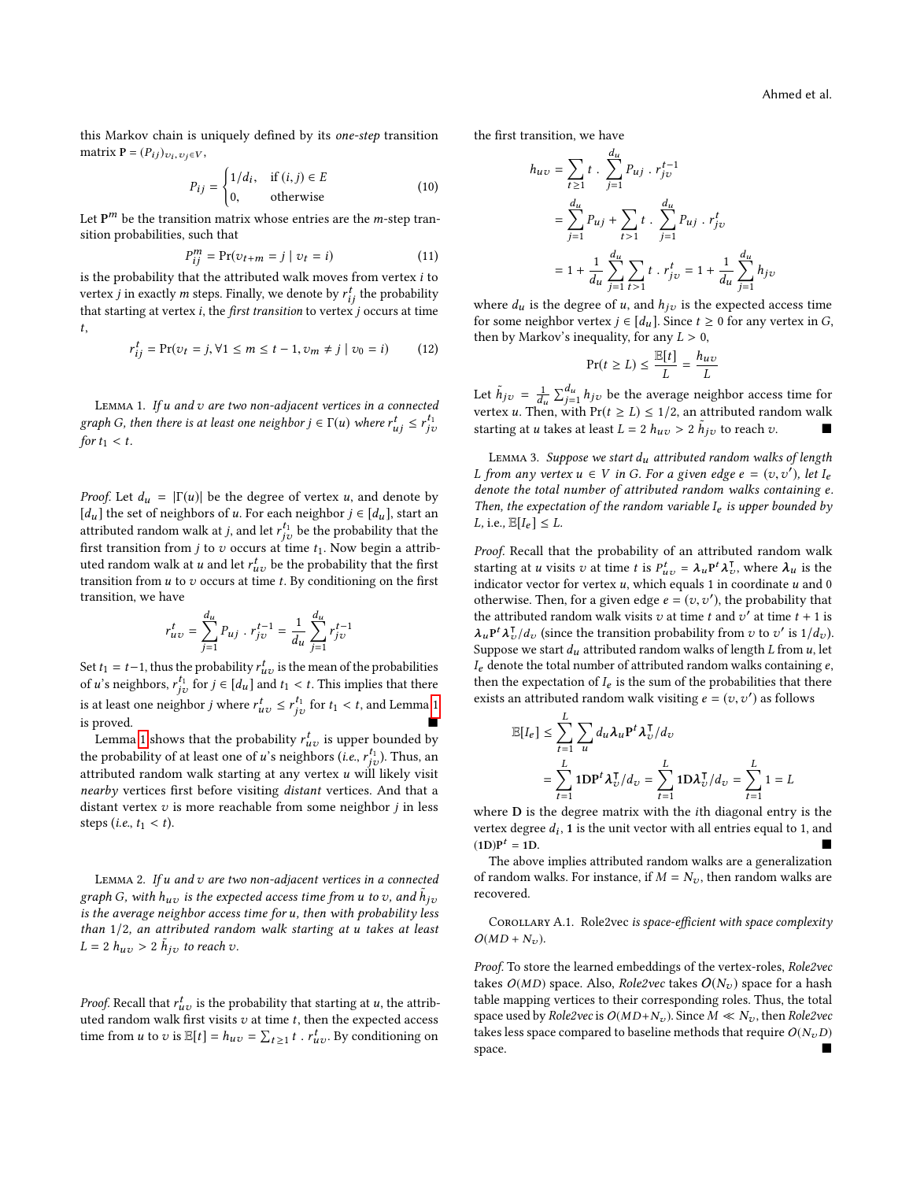this Markov chain is uniquely defined by its one-step transition matrix  $P = (P_{ij})_{v_i, v_j \in V}$ ,

$$
P_{ij} = \begin{cases} 1/d_i, & \text{if } (i,j) \in E \\ 0, & \text{otherwise} \end{cases}
$$
 (10)

Let  $P^m$  be the transition matrix whose entries are the *m*-step tran-<br>sition probabilities, such that sition probabilities, such that

$$
P_{ij}^{m} = \Pr(v_{t+m} = j \mid v_t = i)
$$
\n(11)

is the probability that the attributed walk moves from vertex *i* to vertex *i* in exactly m steps. Finally, we denote by  $r^t$ , the probability vertex *j* in exactly *m* steps. Finally, we denote by  $r_{ij}^t$  the probability that starting at vertex  $i$ , the *first transition* to vertex  $j$  occurs at time t,

$$
r_{ij}^t = \Pr(v_t = j, \forall 1 \le m \le t - 1, v_m \ne j \mid v_0 = i)
$$
 (12)

<span id="page-5-0"></span>LEMMA 1. If  $u$  and  $v$  are two non-adjacent vertices in a connected graph G, then there is at least one neighbor  $j \in \Gamma(u)$  where  $r_{uj}^t \leq r_{j\upsilon}^{t_1}$ for  $t_1 < t$ .

*Proof.* Let  $d_u = |\Gamma(u)|$  be the degree of vertex u, and denote by [ $d_u$ ] the set of neighbors of u. For each neighbor  $j \in [d_u]$ , start an attributed random walk at *j*, and let  $r_{j\nu}^{t_1}$  be the probability that the first transition from *i* to a cosume of time *t*. Now boring a ottaible first transition from j to v occurs at time  $t_1$ . Now begin a attributed random walk at u and let  $r_{uv}^t$  be the probability that the first<br>transition from u to z occurs at time t. By conditioning on the first transition from  $u$  to  $v$  occurs at time  $t$ . By conditioning on the first transition, we have

$$
r_{uv}^t = \sum_{j=1}^{d_u} P_{uj} \cdot r_{jv}^{t-1} = \frac{1}{d_u} \sum_{j=1}^{d_u} r_{jv}^{t-1}
$$

Set  $t_1 = t-1$ , thus the probability  $r_{uv}^t$  is the mean of the probabilities of *u*'s neighbors,  $r_{j\upsilon}^{t_1}$  for  $j \in [d_u]$  and  $t_1 < t$ . This implies that there is at least one neighbor *j* where  $r_{uv}^t \le r_{jv}^{t_1}$  for  $t_1 < t$ , and Lemma [1](#page-5-0) is proved.

Lemma [1](#page-5-0) shows that the probability  $r_{uv}^t$  is upper bounded by<br>a probability of at least one of  $u$ 's pershaps  $(i, e^{-t_1})$ . Thus, an the probability of at least one of u's neighbors  $(i.e., r_{ij}^{t_1})$ . Thus, and the initial syndom wells of a set one vector u will likely visit attributed random walk starting at any vertex  $u$  will likely visit nearby vertices first before visiting distant vertices. And that a distant vertex  $v$  is more reachable from some neighbor  $i$  in less steps (*i.e.*,  $t_1 < t$ ).

LEMMA 2. If  $u$  and  $v$  are two non-adjacent vertices in a connected graph G, with  $h_{uv}$  is the expected access time from u to v, and  $h_{iv}$ is the average neighbor access time for u, then with probability less than <sup>1</sup>/2, an attributed random walk starting at u takes at least  $L = 2 h_{uv} > 2 \tilde{h}_{jv}$  to reach v.

*Proof.* Recall that  $r_{uv}^t$  is the probability that starting at u, the attributed random walk first visits z at time t then the expected access uted random walk first visits  $v$  at time  $t$ , then the expected access time from *u* to *v* is  $\mathbb{E}[t] = h_{uv} = \sum_{t \ge 1} t$ . *r*  $u_v^t$ . By conditioning on

the first transition, we have

$$
h_{uv} = \sum_{t \ge 1} t \cdot \sum_{j=1}^{d_u} P_{uj} \cdot r_{jv}^{t-1}
$$
  
= 
$$
\sum_{j=1}^{d_u} P_{uj} + \sum_{t > 1} t \cdot \sum_{j=1}^{d_u} P_{uj} \cdot r_{jv}^t
$$
  
= 
$$
1 + \frac{1}{d_u} \sum_{j=1}^{d_u} \sum_{t > 1} t \cdot r_{jv}^t = 1 + \frac{1}{d_u} \sum_{j=1}^{d_u} h_{jv}
$$

where  $d_u$  is the degree of u, and  $h_{jv}$  is the expected access time<br>for some neighbor vertex  $i \in [d]$  Since  $t > 0$  for any vertex in G for some neighbor vertex  $j \in [d_u]$ . Since  $t \geq 0$  for any vertex in G, then by Markov's inequality, for any  $L > 0$ ,

$$
\Pr(t \ge L) \le \frac{\mathbb{E}[t]}{L} = \frac{h_{uv}}{L}
$$

Let  $\tilde{h}_{jv} = \frac{1}{d_u} \sum_{j=1}^{d_u} h_{jv}$  be the average neighbor access time for vertex u. Then, with Pr( $t \ge L$ )  $\le 1/2$ , an attributed random walk<br>texting at u takes at least  $L = 2$  k  $\ge 2$  k is to reach a starting at u takes at least  $L = 2 h_{uv} > 2 \tilde{h}_{jv}$  to reach v.

<span id="page-5-1"></span>LEMMA 3. Suppose we start  $d_u$  attributed random walks of length L from any vertex  $u \in V$  in G. For a given edge  $e = (v, v')$ , let  $I_e$ <br>denote the total number of attributed random walks containing e denote the total number of attributed random walks containing e. Then, the expectation of the random variable  $I_e$  is upper bounded by L, i.e.,  $\mathbb{E}[I_e] \leq L$ .

Proof. Recall that the probability of an attributed random walk starting at u visits v at time t is  $P_{uv}^t = \lambda_u P^t \lambda_v^T$ , where  $\lambda_u$  is the indicator vector for vertex u, which equals 1 in coordinate u and 0. indicator vector for vertex  $u$ , which equals 1 in coordinate  $u$  and 0 otherwise. Then, for a given edge  $e = (v, v')$ , the probability that the attributed random walk visits z) at time t and z' at time t + 1 is the attributed random walk visits v at time t and  $v^i$  at time  $t + 1$  is  $\lambda_u P^t \lambda_v^T / d_v$  (since the transition probability from v to v' is  $1/d_v$ ).<br>Suppose we start description and value of length I from y let  $\lambda_u$   $\lambda_v/a_v$  (since the transition probability from  $v$  to  $v$  is  $1/a_v$ )<br>Suppose we start  $d_u$  attributed random walks of length L from  $u$ , let  $I_e$  denote the total number of attributed random walks containing  $e$ , then the expectation of  $I_e$  is the sum of the probabilities that there exists an attributed random walk visiting  $\vec{e} = (v, v')$  as follows

$$
\mathbb{E}[I_e] \leq \sum_{t=1}^{L} \sum_{u} d_u \lambda_u \mathbf{P}^t \lambda_v^{\mathsf{T}} / d_v
$$
  
= 
$$
\sum_{t=1}^{L} \mathbf{1} \mathbf{D} \mathbf{P}^t \lambda_v^{\mathsf{T}} / d_v = \sum_{t=1}^{L} \mathbf{1} \mathbf{D} \lambda_v^{\mathsf{T}} / d_v = \sum_{t=1}^{L} 1 = L
$$

where <sup>D</sup> is the degree matrix with the ith diagonal entry is the vertex degree  $d_i$ , 1 is the unit vector with all entries equal to 1, and  $\Box$  $(1D)P<sup>t</sup> = 1D.$  $t = 1D$ .

The above implies attributed random walks are a generalization of random walks. For instance, if  $M = N_v$ , then random walks are recovered.

Corollary A.1. Role2vec is space-efficient with space complexity  $O(MD + N_{\nu}).$ 

Proof. To store the learned embeddings of the vertex-roles, Role2vec takes  $O(MD)$  space. Also, *Role2vec* takes  $O(N_v)$  space for a hash table mapping vertices to their corresponding roles. Thus, the total space used by Role2vec is  $O(MD+N_v)$ . Since  $M \ll N_v$ , then Role2vec takes less space compared to baseline methods that require  $O(N_v D)$  space. space.